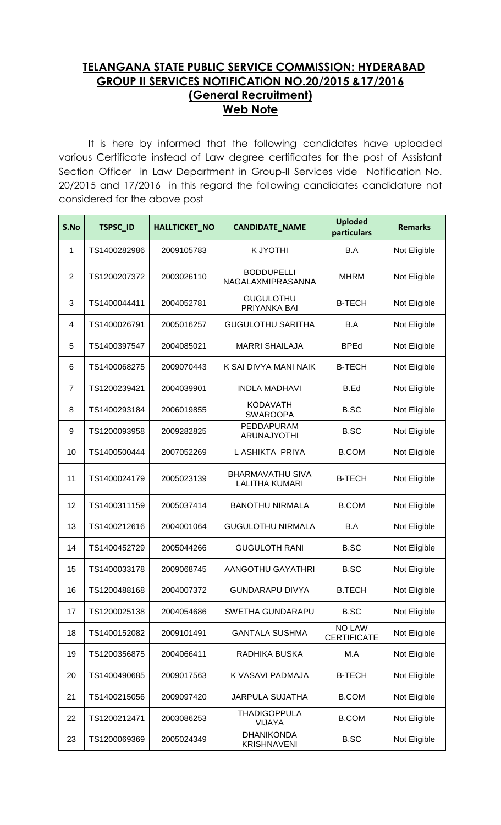## **TELANGANA STATE PUBLIC SERVICE COMMISSION: HYDERABAD GROUP II SERVICES NOTIFICATION NO.20/2015 &17/2016 (General Recruitment) Web Note**

It is here by informed that the following candidates have uploaded various Certificate instead of Law degree certificates for the post of Assistant Section Officer in Law Department in Group-II Services vide Notification No. 20/2015 and 17/2016 in this regard the following candidates candidature not considered for the above post

| S.No | <b>TSPSC_ID</b> | <b>HALLTICKET_NO</b> | <b>CANDIDATE_NAME</b>                            | <b>Uploded</b><br>particulars       | <b>Remarks</b> |
|------|-----------------|----------------------|--------------------------------------------------|-------------------------------------|----------------|
| 1    | TS1400282986    | 2009105783           | K JYOTHI                                         | B.A                                 | Not Eligible   |
| 2    | TS1200207372    | 2003026110           | <b>BODDUPELLI</b><br>NAGALAXMIPRASANNA           | <b>MHRM</b>                         | Not Eligible   |
| 3    | TS1400044411    | 2004052781           | <b>GUGULOTHU</b><br>PRIYANKA BAI                 | <b>B-TECH</b>                       | Not Eligible   |
| 4    | TS1400026791    | 2005016257           | <b>GUGULOTHU SARITHA</b>                         | B.A                                 | Not Eligible   |
| 5    | TS1400397547    | 2004085021           | <b>MARRI SHAILAJA</b>                            | <b>BPEd</b>                         | Not Eligible   |
| 6    | TS1400068275    | 2009070443           | K SAI DIVYA MANI NAIK                            | <b>B-TECH</b>                       | Not Eligible   |
| 7    | TS1200239421    | 2004039901           | <b>INDLA MADHAVI</b>                             | B.Ed                                | Not Eligible   |
| 8    | TS1400293184    | 2006019855           | <b>KODAVATH</b><br><b>SWAROOPA</b>               | <b>B.SC</b>                         | Not Eligible   |
| 9    | TS1200093958    | 2009282825           | PEDDAPURAM<br><b>ARUNAJYOTHI</b>                 | <b>B.SC</b>                         | Not Eligible   |
| 10   | TS1400500444    | 2007052269           | L ASHIKTA PRIYA                                  | <b>B.COM</b>                        | Not Eligible   |
| 11   | TS1400024179    | 2005023139           | <b>BHARMAVATHU SIVA</b><br><b>LALITHA KUMARI</b> | <b>B-TECH</b>                       | Not Eligible   |
| 12   | TS1400311159    | 2005037414           | <b>BANOTHU NIRMALA</b>                           | <b>B.COM</b>                        | Not Eligible   |
| 13   | TS1400212616    | 2004001064           | <b>GUGULOTHU NIRMALA</b>                         | B.A                                 | Not Eligible   |
| 14   | TS1400452729    | 2005044266           | <b>GUGULOTH RANI</b>                             | <b>B.SC</b>                         | Not Eligible   |
| 15   | TS1400033178    | 2009068745           | AANGOTHU GAYATHRI                                | <b>B.SC</b>                         | Not Eligible   |
| 16   | TS1200488168    | 2004007372           | <b>GUNDARAPU DIVYA</b>                           | <b>B.TECH</b>                       | Not Eligible   |
| 17   | TS1200025138    | 2004054686           | SWETHA GUNDARAPU                                 | <b>B.SC</b>                         | Not Eligible   |
| 18   | TS1400152082    | 2009101491           | <b>GANTALA SUSHMA</b>                            | <b>NO LAW</b><br><b>CERTIFICATE</b> | Not Eligible   |
| 19   | TS1200356875    | 2004066411           | RADHIKA BUSKA                                    | M.A                                 | Not Eligible   |
| 20   | TS1400490685    | 2009017563           | K VASAVI PADMAJA                                 | <b>B-TECH</b>                       | Not Eligible   |
| 21   | TS1400215056    | 2009097420           | <b>JARPULA SUJATHA</b>                           | <b>B.COM</b>                        | Not Eligible   |
| 22   | TS1200212471    | 2003086253           | <b>THADIGOPPULA</b><br><b>VIJAYA</b>             | <b>B.COM</b>                        | Not Eligible   |
| 23   | TS1200069369    | 2005024349           | <b>DHANIKONDA</b><br><b>KRISHNAVENI</b>          | <b>B.SC</b>                         | Not Eligible   |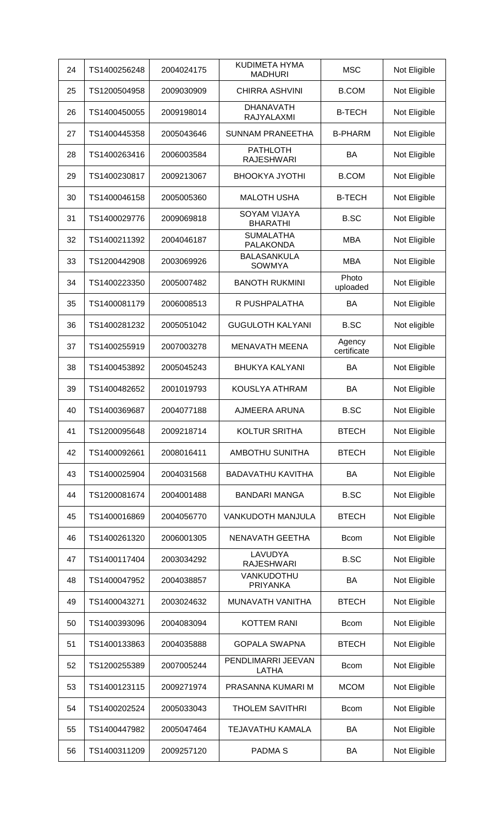| 24 | TS1400256248 | 2004024175 | <b>KUDIMETA HYMA</b><br><b>MADHURI</b> | <b>MSC</b>            | Not Eligible |
|----|--------------|------------|----------------------------------------|-----------------------|--------------|
| 25 | TS1200504958 | 2009030909 | <b>CHIRRA ASHVINI</b>                  | <b>B.COM</b>          | Not Eligible |
| 26 | TS1400450055 | 2009198014 | <b>DHANAVATH</b><br>RAJYALAXMI         | <b>B-TECH</b>         | Not Eligible |
| 27 | TS1400445358 | 2005043646 | <b>SUNNAM PRANEETHA</b>                | <b>B-PHARM</b>        | Not Eligible |
| 28 | TS1400263416 | 2006003584 | <b>PATHLOTH</b><br><b>RAJESHWARI</b>   | BA                    | Not Eligible |
| 29 | TS1400230817 | 2009213067 | <b>BHOOKYA JYOTHI</b>                  | <b>B.COM</b>          | Not Eligible |
| 30 | TS1400046158 | 2005005360 | <b>MALOTH USHA</b>                     | <b>B-TECH</b>         | Not Eligible |
| 31 | TS1400029776 | 2009069818 | SOYAM VIJAYA<br><b>BHARATHI</b>        | <b>B.SC</b>           | Not Eligible |
| 32 | TS1400211392 | 2004046187 | <b>SUMALATHA</b><br>PALAKONDA          | <b>MBA</b>            | Not Eligible |
| 33 | TS1200442908 | 2003069926 | <b>BALASANKULA</b><br><b>SOWMYA</b>    | <b>MBA</b>            | Not Eligible |
| 34 | TS1400223350 | 2005007482 | <b>BANOTH RUKMINI</b>                  | Photo<br>uploaded     | Not Eligible |
| 35 | TS1400081179 | 2006008513 | R PUSHPALATHA                          | BA                    | Not Eligible |
| 36 | TS1400281232 | 2005051042 | <b>GUGULOTH KALYANI</b>                | <b>B.SC</b>           | Not eligible |
| 37 | TS1400255919 | 2007003278 | <b>MENAVATH MEENA</b>                  | Agency<br>certificate | Not Eligible |
| 38 | TS1400453892 | 2005045243 | <b>BHUKYA KALYANI</b>                  | BA                    | Not Eligible |
| 39 | TS1400482652 | 2001019793 | KOUSLYA ATHRAM                         | BA                    | Not Eligible |
| 40 | TS1400369687 | 2004077188 | AJMEERA ARUNA                          | <b>B.SC</b>           | Not Eligible |
| 41 | TS1200095648 | 2009218714 | <b>KOLTUR SRITHA</b>                   | <b>BTECH</b>          | Not Eligible |
| 42 | TS1400092661 | 2008016411 | AMBOTHU SUNITHA                        | <b>BTECH</b>          | Not Eligible |
| 43 | TS1400025904 | 2004031568 | <b>BADAVATHU KAVITHA</b>               | BA                    | Not Eligible |
| 44 | TS1200081674 | 2004001488 | <b>BANDARI MANGA</b>                   | <b>B.SC</b>           | Not Eligible |
| 45 | TS1400016869 | 2004056770 | <b>VANKUDOTH MANJULA</b>               | <b>BTECH</b>          | Not Eligible |
| 46 | TS1400261320 | 2006001305 | NENAVATH GEETHA                        | <b>Bcom</b>           | Not Eligible |
| 47 | TS1400117404 | 2003034292 | LAVUDYA<br><b>RAJESHWARI</b>           | <b>B.SC</b>           | Not Eligible |
| 48 | TS1400047952 | 2004038857 | VANKUDOTHU<br><b>PRIYANKA</b>          | BA                    | Not Eligible |
| 49 | TS1400043271 | 2003024632 | MUNAVATH VANITHA                       | <b>BTECH</b>          | Not Eligible |
| 50 | TS1400393096 | 2004083094 | <b>KOTTEM RANI</b>                     | <b>Bcom</b>           | Not Eligible |
| 51 | TS1400133863 | 2004035888 | <b>GOPALA SWAPNA</b>                   | <b>BTECH</b>          | Not Eligible |
| 52 | TS1200255389 | 2007005244 | PENDLIMARRI JEEVAN<br>LATHA            | <b>Bcom</b>           | Not Eligible |
| 53 | TS1400123115 | 2009271974 | PRASANNA KUMARI M                      | <b>MCOM</b>           | Not Eligible |
| 54 | TS1400202524 | 2005033043 | <b>THOLEM SAVITHRI</b>                 | <b>Bcom</b>           | Not Eligible |
| 55 | TS1400447982 | 2005047464 | <b>TEJAVATHU KAMALA</b>                | BA                    | Not Eligible |
| 56 | TS1400311209 | 2009257120 | <b>PADMAS</b>                          | BA                    | Not Eligible |